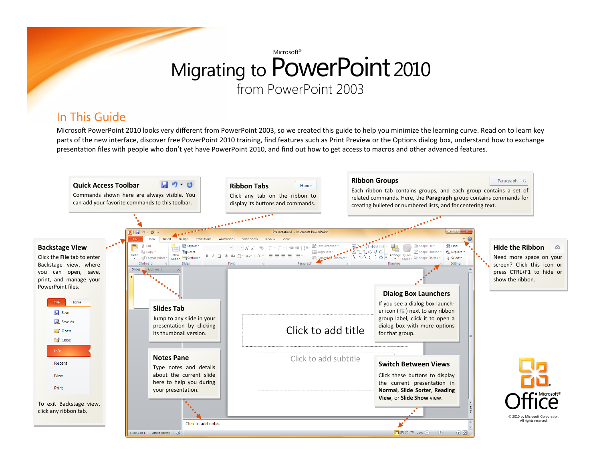#### In This Guide

Microsoft PowerPoint 2010 looks very different from PowerPoint 2003, so we created this guide to help you minimize the learning curve. Read on to learn key parts of the new interface, discover free PowerPoint 2010 training, find features such as Print Preview or the Options dialog box, understand how to exchange presentation files with people who don't yet have PowerPoint 2010, and find out how to get access to macros and other advanced features.

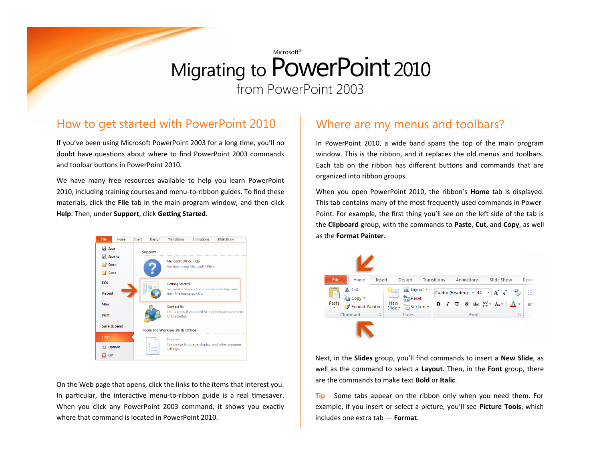#### How to get started with PowerPoint 2010

If you've been using Microsoft PowerPoint 2003 for a long time, you'll no doubt have questions about where to find PowerPoint 2003 commands and toolbar buttons in PowerPoint 2010.

We have many free resources available to help you learn PowerPoint 2010, including training courses and menu-to-ribbon guides. To find these materials, click the **File** tab in the main program window, and then click **Help**. Then, under **Support**, click **Getting Started**.



On the Web page that opens, click the links to the items that interest you. In particular, the interactive menu-to-ribbon guide is a real timesaver. When you click any PowerPoint 2003 command, it shows you exactly where that command is located in PowerPoint 2010.

#### Where are my menus and toolbars?

In PowerPoint 2010, a wide band spans the top of the main program window. This is the ribbon, and it replaces the old menus and toolbars. Each tab on the ribbon has different buttons and commands that are organized into ribbon groups.

When you open PowerPoint 2010, the ribbon's **Home** tab is displayed. This tab contains many of the most frequently used commands in Power-Point. For example, the first thing you'll see on the left side of the tab is the **Clipboard** group, with the commands to **Paste**, **Cut**, and **Copy**, as well as the **Format Painter**.



Next, in the **Slides** group, you'll find commands to insert a **New Slide**, as well as the command to select a **Layout**. Then, in the **Font** group, there are the commands to make text **Bold** or **Italic**.

**Tip** Some tabs appear on the ribbon only when you need them. For example, if you insert or select a picture, you'll see **Picture Tools**, which includes one extra tab — **Format**.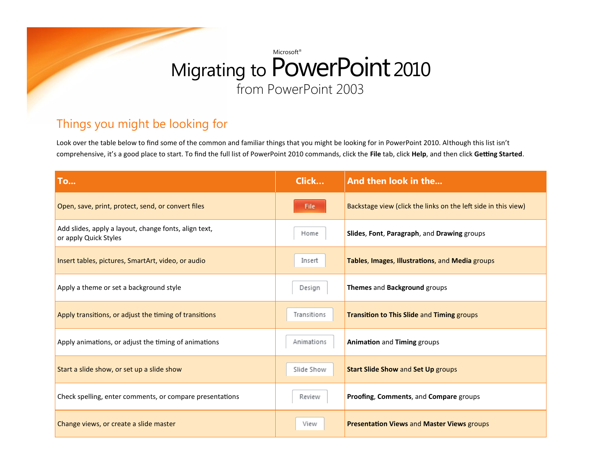### Things you might be looking for

Look over the table below to find some of the common and familiar things that you might be looking for in PowerPoint 2010. Although this list isn't comprehensive, it's a good place to start. To find the full list of PowerPoint 2010 commands, click the **File** tab, click **Help**, and then click **Getting Started**.

| <b>To</b>                                                                      | <b>Click</b> | And then look in the                                           |
|--------------------------------------------------------------------------------|--------------|----------------------------------------------------------------|
| Open, save, print, protect, send, or convert files                             | File         | Backstage view (click the links on the left side in this view) |
| Add slides, apply a layout, change fonts, align text,<br>or apply Quick Styles | Home         | Slides, Font, Paragraph, and Drawing groups                    |
| Insert tables, pictures, SmartArt, video, or audio                             | Insert       | Tables, Images, Illustrations, and Media groups                |
| Apply a theme or set a background style                                        | Design       | Themes and Background groups                                   |
| Apply transitions, or adjust the timing of transitions                         | Transitions  | <b>Transition to This Slide and Timing groups</b>              |
| Apply animations, or adjust the timing of animations                           | Animations   | Animation and Timing groups                                    |
| Start a slide show, or set up a slide show                                     | Slide Show   | <b>Start Slide Show and Set Up groups</b>                      |
| Check spelling, enter comments, or compare presentations                       | Review       | Proofing, Comments, and Compare groups                         |
| Change views, or create a slide master                                         | View         | <b>Presentation Views and Master Views groups</b>              |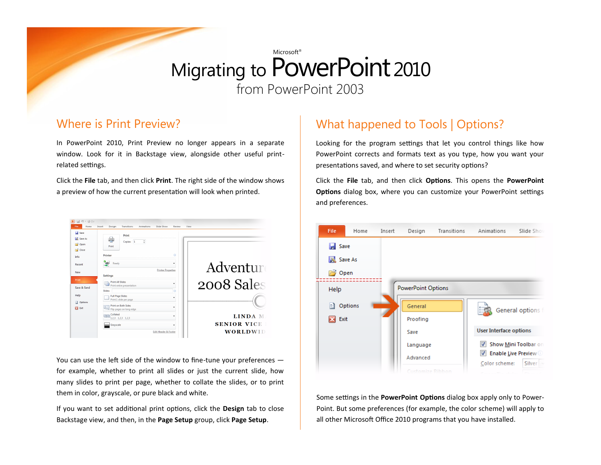#### Where is Print Preview?

In PowerPoint 2010, Print Preview no longer appears in a separate window. Look for it in Backstage view, alongside other useful printrelated settings.

Click the **File** tab, and then click **Print**. The right side of the window shows a preview of how the current presentation will look when printed.



You can use the left side of the window to fine-tune your preferences for example, whether to print all slides or just the current slide, how many slides to print per page, whether to collate the slides, or to print them in color, grayscale, or pure black and white.

If you want to set additional print options, click the **Design** tab to close Backstage view, and then, in the **Page Setup** group, click **Page Setup**.

### What happened to Tools | Options?

Looking for the program settings that let you control things like how PowerPoint corrects and formats text as you type, how you want your presentations saved, and where to set security options?

Click the **File** tab, and then click **Options**. This opens the **PowerPoint Options** dialog box, where you can customize your PowerPoint settings and preferences.



Some settings in the **PowerPoint Options** dialog box apply only to Power-Point. But some preferences (for example, the color scheme) will apply to all other Microsoft Office 2010 programs that you have installed.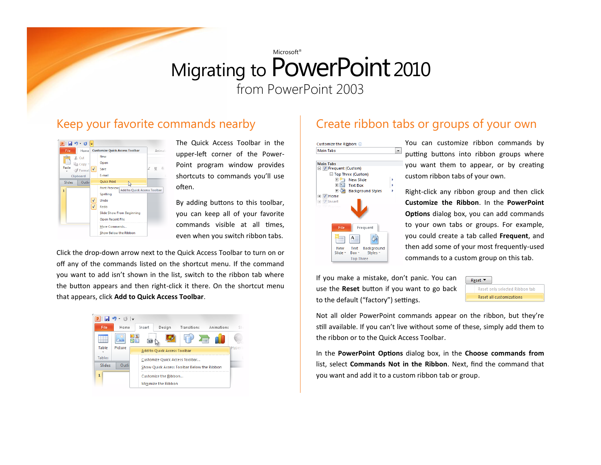#### Keep your favorite commands nearby



The Quick Access Toolbar in the upper-left corner of the Power-Point program window provides shortcuts to commands you'll use often.

By adding buttons to this toolbar, you can keep all of your favorite commands visible at all times, even when you switch ribbon tabs.

Click the drop-down arrow next to the Quick Access Toolbar to turn on or off any of the commands listed on the shortcut menu. If the command you want to add isn't shown in the list, switch to the ribbon tab where the button appears and then right-click it there. On the shortcut menu that appears, click **Add to Quick Access Toolbar**.



### Create ribbon tabs or groups of your own



You can customize ribbon commands by putting buttons into ribbon groups where you want them to appear, or by creating custom ribbon tabs of your own.

Right-click any ribbon group and then click **Customize the Ribbon**. In the **PowerPoint Options** dialog box, you can add commands to your own tabs or groups. For example, you could create a tab called **Frequent**, and then add some of your most frequently-used commands to a custom group on this tab.

If you make a mistake, don't panic. You can use the **Reset** button if you want to go back to the default ("factory") settings.



Not all older PowerPoint commands appear on the ribbon, but they're still available. If you can't live without some of these, simply add them to the ribbon or to the Quick Access Toolbar.

In the **PowerPoint Options** dialog box, in the **Choose commands from** list, select **Commands Not in the Ribbon**. Next, find the command that you want and add it to a custom ribbon tab or group.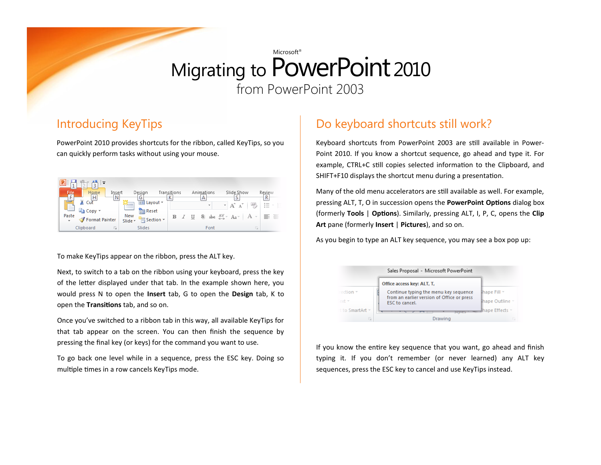#### Introducing KeyTips

PowerPoint 2010 provides shortcuts for the ribbon, called KeyTips, so you can quickly perform tasks without using your mouse.

| Q.<br>┸                                |                                            |                  |                 |                                                                                 |                          |
|----------------------------------------|--------------------------------------------|------------------|-----------------|---------------------------------------------------------------------------------|--------------------------|
| File<br>Ta<br>Home<br>Insert<br>Н<br>Ν | Design                                     | Transitions<br>К | Animations<br>Α | Slide Show<br>o                                                                 | Review<br>R              |
| ക് Cut<br>F<br>ं∎े Copy *              | $\mathbb{E}$ Layout $\tau$<br><b>Reset</b> |                  | $\mathbf{v}$    | A3<br>$\mathbf{A}$                                                              | $\overline{\phantom{a}}$ |
| Paste<br>Format Painter<br>$\tau$      | New<br>Section *<br>Slide *                | в                |                 | $I$ U S abe $_{\leftrightarrow}$ Aa <sup>v</sup> Aa <sup>v</sup> A <sup>v</sup> | 言 三                      |
| Clipboard<br>$\sim$                    | Slides                                     |                  | Font            | $\sim$<br>Lat.                                                                  |                          |

To make KeyTips appear on the ribbon, press the ALT key.

Next, to switch to a tab on the ribbon using your keyboard, press the key of the letter displayed under that tab. In the example shown here, you would press N to open the **Insert** tab, G to open the **Design** tab, K to open the **Transitions** tab, and so on.

Once you've switched to a ribbon tab in this way, all available KeyTips for that tab appear on the screen. You can then finish the sequence by pressing the final key (or keys) for the command you want to use.

To go back one level while in a sequence, press the ESC key. Doing so multiple times in a row cancels KeyTips mode.

### Do keyboard shortcuts still work?

Keyboard shortcuts from PowerPoint 2003 are still available in Power-Point 2010. If you know a shortcut sequence, go ahead and type it. For example, CTRL+C still copies selected information to the Clipboard, and SHIFT+F10 displays the shortcut menu during a presentation.

Many of the old menu accelerators are still available as well. For example, pressing ALT, T, O in succession opens the **PowerPoint Options** dialog box (formerly **Tools** | **Options**). Similarly, pressing ALT, I, P, C, opens the **Clip Art** pane (formerly **Insert** | **Pictures**), and so on.

As you begin to type an ALT key sequence, you may see a box pop up:



If you know the entire key sequence that you want, go ahead and finish typing it. If you don't remember (or never learned) any ALT key sequences, press the ESC key to cancel and use KeyTips instead.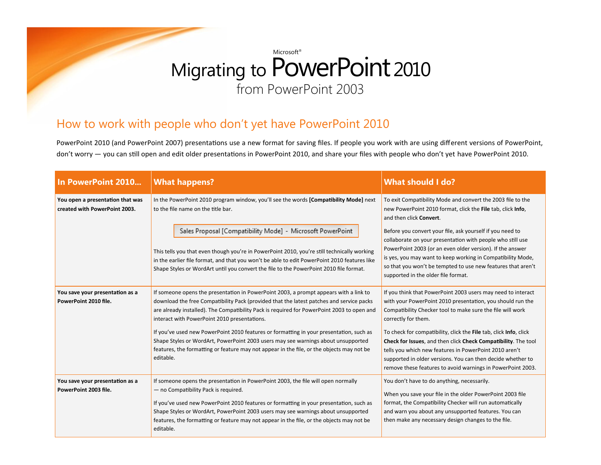### How to work with people who don't yet have PowerPoint 2010

PowerPoint 2010 (and PowerPoint 2007) presentations use a new format for saving files. If people you work with are using different versions of PowerPoint, don't worry — you can still open and edit older presentations in PowerPoint 2010, and share your files with people who don't yet have PowerPoint 2010.

| In PowerPoint 2010                                                | <b>What happens?</b>                                                                                                                                                                                                                                                                                                                                                                                                | <b>What should I do?</b>                                                                                                                                                                                                                                                                                                                                   |  |
|-------------------------------------------------------------------|---------------------------------------------------------------------------------------------------------------------------------------------------------------------------------------------------------------------------------------------------------------------------------------------------------------------------------------------------------------------------------------------------------------------|------------------------------------------------------------------------------------------------------------------------------------------------------------------------------------------------------------------------------------------------------------------------------------------------------------------------------------------------------------|--|
| You open a presentation that was<br>created with PowerPoint 2003. | In the PowerPoint 2010 program window, you'll see the words [Compatibility Mode] next<br>to the file name on the title bar.                                                                                                                                                                                                                                                                                         | To exit Compatibility Mode and convert the 2003 file to the<br>new PowerPoint 2010 format, click the File tab, click Info,<br>and then click Convert.                                                                                                                                                                                                      |  |
|                                                                   | Sales Proposal [Compatibility Mode] - Microsoft PowerPoint<br>This tells you that even though you're in PowerPoint 2010, you're still technically working<br>in the earlier file format, and that you won't be able to edit PowerPoint 2010 features like<br>Shape Styles or WordArt until you convert the file to the PowerPoint 2010 file format.                                                                 | Before you convert your file, ask yourself if you need to<br>collaborate on your presentation with people who still use<br>PowerPoint 2003 (or an even older version). If the answer<br>is yes, you may want to keep working in Compatibility Mode,<br>so that you won't be tempted to use new features that aren't<br>supported in the older file format. |  |
| You save your presentation as a<br>PowerPoint 2010 file.          | If someone opens the presentation in PowerPoint 2003, a prompt appears with a link to<br>download the free Compatibility Pack (provided that the latest patches and service packs<br>are already installed). The Compatibility Pack is required for PowerPoint 2003 to open and<br>interact with PowerPoint 2010 presentations.                                                                                     | If you think that PowerPoint 2003 users may need to interact<br>with your PowerPoint 2010 presentation, you should run the<br>Compatibility Checker tool to make sure the file will work<br>correctly for them.                                                                                                                                            |  |
|                                                                   | If you've used new PowerPoint 2010 features or formatting in your presentation, such as<br>Shape Styles or WordArt, PowerPoint 2003 users may see warnings about unsupported<br>features, the formatting or feature may not appear in the file, or the objects may not be<br>editable.                                                                                                                              | To check for compatibility, click the File tab, click Info, click<br>Check for Issues, and then click Check Compatibility. The tool<br>tells you which new features in PowerPoint 2010 aren't<br>supported in older versions. You can then decide whether to<br>remove these features to avoid warnings in PowerPoint 2003.                                |  |
| You save your presentation as a<br>PowerPoint 2003 file.          | If someone opens the presentation in PowerPoint 2003, the file will open normally<br>- no Compatibility Pack is required.<br>If you've used new PowerPoint 2010 features or formatting in your presentation, such as<br>Shape Styles or WordArt, PowerPoint 2003 users may see warnings about unsupported<br>features, the formatting or feature may not appear in the file, or the objects may not be<br>editable. | You don't have to do anything, necessarily.<br>When you save your file in the older PowerPoint 2003 file<br>format, the Compatibility Checker will run automatically<br>and warn you about any unsupported features. You can<br>then make any necessary design changes to the file.                                                                        |  |